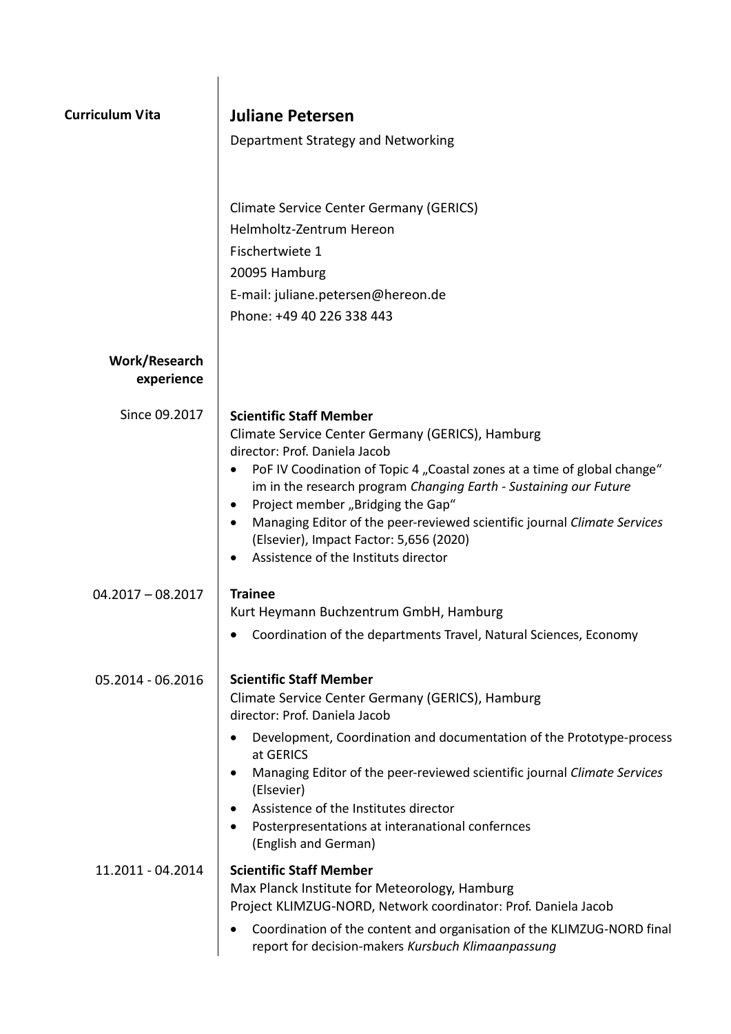| <b>Curriculum Vita</b>      | Juliane Petersen                                                                                                                        |
|-----------------------------|-----------------------------------------------------------------------------------------------------------------------------------------|
|                             | Department Strategy and Networking                                                                                                      |
|                             |                                                                                                                                         |
|                             | <b>Climate Service Center Germany (GERICS)</b>                                                                                          |
|                             | Helmholtz-Zentrum Hereon                                                                                                                |
|                             | Fischertwiete 1<br>20095 Hamburg                                                                                                        |
|                             | E-mail: juliane.petersen@hereon.de                                                                                                      |
|                             | Phone: +49 40 226 338 443                                                                                                               |
| Work/Research<br>experience |                                                                                                                                         |
| Since 09.2017               | <b>Scientific Staff Member</b>                                                                                                          |
|                             | Climate Service Center Germany (GERICS), Hamburg                                                                                        |
|                             | director: Prof. Daniela Jacob<br>PoF IV Coodination of Topic 4 "Coastal zones at a time of global change"<br>$\bullet$                  |
|                             | im in the research program Changing Earth - Sustaining our Future                                                                       |
|                             | Project member "Bridging the Gap"<br>$\bullet$<br>Managing Editor of the peer-reviewed scientific journal Climate Services<br>$\bullet$ |
|                             | (Elsevier), Impact Factor: 5,656 (2020)                                                                                                 |
|                             | Assistence of the Instituts director                                                                                                    |
| $04.2017 - 08.2017$         | <b>Trainee</b>                                                                                                                          |
|                             | Kurt Heymann Buchzentrum GmbH, Hamburg                                                                                                  |
|                             | Coordination of the departments Travel, Natural Sciences, Economy                                                                       |
| 05.2014 - 06.2016           | <b>Scientific Staff Member</b>                                                                                                          |
|                             | Climate Service Center Germany (GERICS), Hamburg                                                                                        |
|                             | director: Prof. Daniela Jacob<br>Development, Coordination and documentation of the Prototype-process                                   |
|                             | at GERICS                                                                                                                               |
|                             | Managing Editor of the peer-reviewed scientific journal Climate Services<br>$\bullet$                                                   |
|                             | (Elsevier)<br>Assistence of the Institutes director                                                                                     |
|                             | Posterpresentations at interanational confernces<br>(English and German)                                                                |
| 11.2011 - 04.2014           | <b>Scientific Staff Member</b>                                                                                                          |
|                             | Max Planck Institute for Meteorology, Hamburg<br>Project KLIMZUG-NORD, Network coordinator: Prof. Daniela Jacob                         |
|                             | Coordination of the content and organisation of the KLIMZUG-NORD final                                                                  |
|                             | report for decision-makers Kursbuch Klimaanpassung                                                                                      |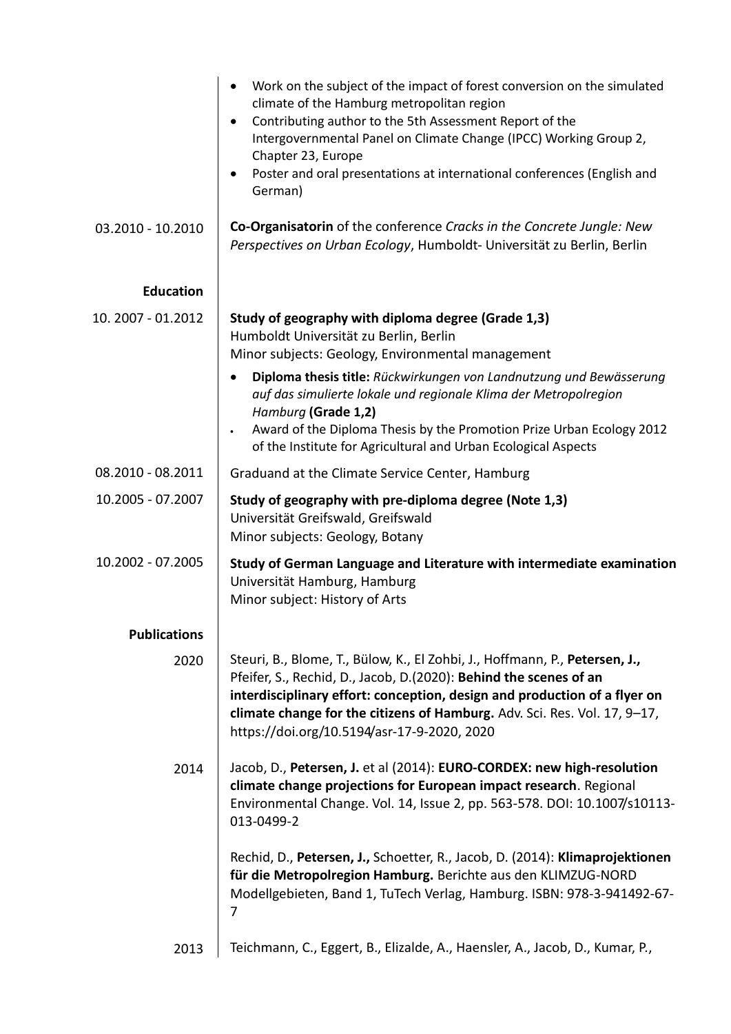|                     | Work on the subject of the impact of forest conversion on the simulated<br>$\bullet$<br>climate of the Hamburg metropolitan region<br>Contributing author to the 5th Assessment Report of the<br>$\bullet$<br>Intergovernmental Panel on Climate Change (IPCC) Working Group 2,<br>Chapter 23, Europe<br>Poster and oral presentations at international conferences (English and<br>German) |
|---------------------|---------------------------------------------------------------------------------------------------------------------------------------------------------------------------------------------------------------------------------------------------------------------------------------------------------------------------------------------------------------------------------------------|
| 03.2010 - 10.2010   | Co-Organisatorin of the conference Cracks in the Concrete Jungle: New<br>Perspectives on Urban Ecology, Humboldt- Universität zu Berlin, Berlin                                                                                                                                                                                                                                             |
| <b>Education</b>    |                                                                                                                                                                                                                                                                                                                                                                                             |
| 10. 2007 - 01.2012  | Study of geography with diploma degree (Grade 1,3)<br>Humboldt Universität zu Berlin, Berlin<br>Minor subjects: Geology, Environmental management                                                                                                                                                                                                                                           |
|                     | Diploma thesis title: Rückwirkungen von Landnutzung und Bewässerung<br>$\bullet$<br>auf das simulierte lokale und regionale Klima der Metropolregion<br>Hamburg (Grade 1,2)<br>Award of the Diploma Thesis by the Promotion Prize Urban Ecology 2012<br>of the Institute for Agricultural and Urban Ecological Aspects                                                                      |
| 08.2010 - 08.2011   | Graduand at the Climate Service Center, Hamburg                                                                                                                                                                                                                                                                                                                                             |
| 10.2005 - 07.2007   | Study of geography with pre-diploma degree (Note 1,3)<br>Universität Greifswald, Greifswald<br>Minor subjects: Geology, Botany                                                                                                                                                                                                                                                              |
| 10.2002 - 07.2005   | Study of German Language and Literature with intermediate examination<br>Universität Hamburg, Hamburg<br>Minor subject: History of Arts                                                                                                                                                                                                                                                     |
| <b>Publications</b> |                                                                                                                                                                                                                                                                                                                                                                                             |
| 2020                | Steuri, B., Blome, T., Bülow, K., El Zohbi, J., Hoffmann, P., Petersen, J.,<br>Pfeifer, S., Rechid, D., Jacob, D.(2020): Behind the scenes of an<br>interdisciplinary effort: conception, design and production of a flyer on<br>climate change for the citizens of Hamburg. Adv. Sci. Res. Vol. 17, 9-17,<br>https://doi.org/10.5194/asr-17-9-2020, 2020                                   |
| 2014                | Jacob, D., Petersen, J. et al (2014): EURO-CORDEX: new high-resolution<br>climate change projections for European impact research. Regional<br>Environmental Change. Vol. 14, Issue 2, pp. 563-578. DOI: 10.1007/s10113-<br>013-0499-2                                                                                                                                                      |
|                     | Rechid, D., Petersen, J., Schoetter, R., Jacob, D. (2014): Klimaprojektionen<br>für die Metropolregion Hamburg. Berichte aus den KLIMZUG-NORD<br>Modellgebieten, Band 1, TuTech Verlag, Hamburg. ISBN: 978-3-941492-67-<br>7                                                                                                                                                                |
| 2013                | Teichmann, C., Eggert, B., Elizalde, A., Haensler, A., Jacob, D., Kumar, P.,                                                                                                                                                                                                                                                                                                                |